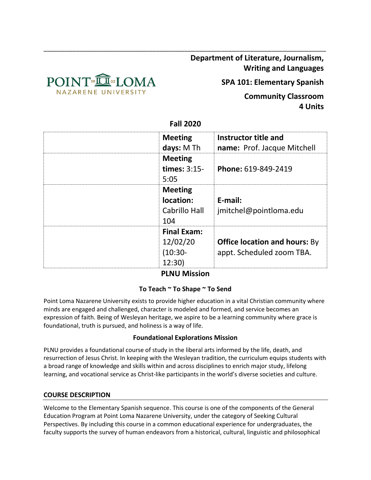

**Department of Literature, Journalism, Writing and Languages**

**SPA 101: Elementary Spanish**

**Community Classroom 4 Units**

**Fall 2020**

\_\_\_\_\_\_\_\_\_\_\_\_\_\_\_\_\_\_\_\_\_\_\_\_\_\_\_\_\_\_\_\_\_\_\_\_\_\_\_\_\_\_\_\_\_\_\_\_\_\_\_\_\_\_\_\_\_\_\_\_\_\_\_\_\_\_\_\_\_\_\_\_\_\_\_\_\_\_

| <b>Meeting</b><br>days: M Th                        | Instructor title and<br>name: Prof. Jacque Mitchell               |
|-----------------------------------------------------|-------------------------------------------------------------------|
| <b>Meeting</b><br><b>times: 3:15-</b><br>5:05       | Phone: 619-849-2419                                               |
| <b>Meeting</b><br>location:<br>Cabrillo Hall<br>104 | E-mail:<br>jmitchel@pointloma.edu                                 |
| <b>Final Exam:</b><br>12/02/20<br>(10:30-<br>12:30) | <b>Office location and hours: By</b><br>appt. Scheduled zoom TBA. |

# **PLNU Mission**

## **To Teach ~ To Shape ~ To Send**

Point Loma Nazarene University exists to provide higher education in a vital Christian community where minds are engaged and challenged, character is modeled and formed, and service becomes an expression of faith. Being of Wesleyan heritage, we aspire to be a learning community where grace is foundational, truth is pursued, and holiness is a way of life.

### **Foundational Explorations Mission**

PLNU provides a foundational course of study in the liberal arts informed by the life, death, and resurrection of Jesus Christ. In keeping with the Wesleyan tradition, the curriculum equips students with a broad range of knowledge and skills within and across disciplines to enrich major study, lifelong learning, and vocational service as Christ-like participants in the world's diverse societies and culture.

#### **COURSE DESCRIPTION**

Welcome to the Elementary Spanish sequence. This course is one of the components of the General Education Program at Point Loma Nazarene University, under the category of Seeking Cultural Perspectives. By including this course in a common educational experience for undergraduates, the faculty supports the survey of human endeavors from a historical, cultural, linguistic and philosophical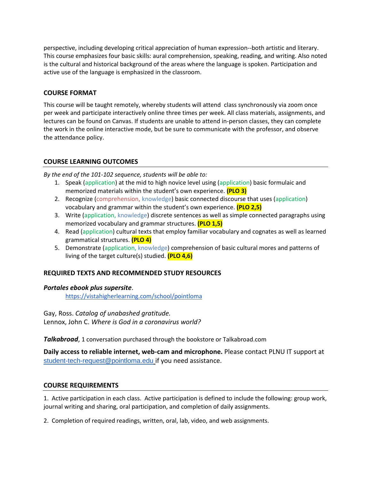perspective, including developing critical appreciation of human expression--both artistic and literary. This course emphasizes four basic skills: aural comprehension, speaking, reading, and writing. Also noted is the cultural and historical background of the areas where the language is spoken. Participation and active use of the language is emphasized in the classroom.

## **COURSE FORMAT**

This course will be taught remotely, whereby students will attend class synchronously via zoom once per week and participate interactively online three times per week. All class materials, assignments, and lectures can be found on Canvas. If students are unable to attend in-person classes, they can complete the work in the online interactive mode, but be sure to communicate with the professor, and observe the attendance policy.

## **COURSE LEARNING OUTCOMES**

*By the end of the 101-102 sequence, students will be able to:*

- 1. Speak (application) at the mid to high novice level using (application) basic formulaic and memorized materials within the student's own experience. **(PLO 3)**
- 2. Recognize (comprehension, knowledge) basic connected discourse that uses (application) vocabulary and grammar within the student's own experience. **(PLO 2,5)**
- 3. Write (application, knowledge) discrete sentences as well as simple connected paragraphs using memorized vocabulary and grammar structures. **(PLO 1,5)**
- 4. Read (application) cultural texts that employ familiar vocabulary and cognates as well as learned grammatical structures. **(PLO 4)**
- 5. Demonstrate (application, knowledge) comprehension of basic cultural mores and patterns of living of the target culture(s) studied. **(PLO 4,6)**

## **REQUIRED TEXTS AND RECOMMENDED STUDY RESOURCES**

### *Portales ebook plus supersite*.

<https://vistahigherlearning.com/school/pointloma>

Gay, Ross. *Catalog of unabashed gratitude.*

Lennox, John C. *Where is God in a coronavirus world?*

*Talkabroad*, 1 conversation purchased through the bookstore or Talkabroad.com

**Daily access to reliable internet, web-cam and microphone.** Please contact PLNU IT support at [student-tech-request@pointloma.edu](mailto:student-tech-request@pointloma.edu) if you need assistance.

### **COURSE REQUIREMENTS**

1. Active participation in each class. Active participation is defined to include the following: group work, journal writing and sharing, oral participation, and completion of daily assignments.

2. Completion of required readings, written, oral, lab, video, and web assignments.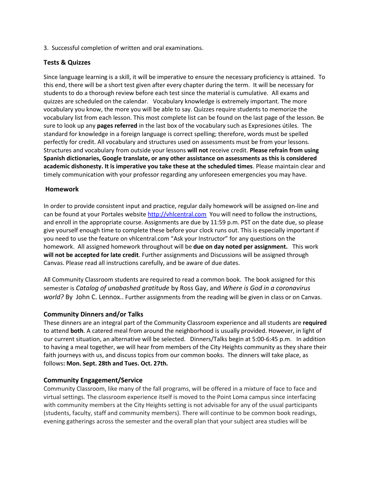3. Successful completion of written and oral examinations.

## **Tests & Quizzes**

Since language learning is a skill, it will be imperative to ensure the necessary proficiency is attained. To this end, there will be a short test given after every chapter during the term. It will be necessary for students to do a thorough review before each test since the material is cumulative. All exams and quizzes are scheduled on the calendar. Vocabulary knowledge is extremely important. The more vocabulary you know, the more you will be able to say. Quizzes require students to memorize the vocabulary list from each lesson. This most complete list can be found on the last page of the lesson. Be sure to look up any **pages referred** in the last box of the vocabulary such as Expresiones útiles. The standard for knowledge in a foreign language is correct spelling; therefore, words must be spelled perfectly for credit. All vocabulary and structures used on assessments must be from your lessons. Structures and vocabulary from outside your lessons **will not** receive credit. **Please refrain from using Spanish dictionaries, Google translate, or any other assistance on assessments as this is considered academic dishonesty. It is imperative you take these at the scheduled times**. Please maintain clear and timely communication with your professor regarding any unforeseen emergencies you may have.

## **Homework**

In order to provide consistent input and practice, regular daily homework will be assigned on-line and can be found at your Portales website [http://vhlcentral.com](http://vhlcentral.com/) You will need to follow the instructions, and enroll in the appropriate course. Assignments are due by 11:59 p.m. PST on the date due, so please give yourself enough time to complete these before your clock runs out. This is especially important if you need to use the feature on vhlcentral.com "Ask your Instructor" for any questions on the homework. All assigned homework throughout will be **due on day noted per assignment.** This work **will not be accepted for late credit**. Further assignments and Discussions will be assigned through Canvas. Please read all instructions carefully, and be aware of due dates.

All Community Classroom students are required to read a common book. The book assigned for this semester is *Catalog of unabashed gratitude* by Ross Gay, and *Where is God in a coronavirus world?* By John C. Lennox.. Further assignments from the reading will be given in class or on Canvas.

### **Community Dinners and/or Talks**

These dinners are an integral part of the Community Classroom experience and all students are **required** to attend **both**. A catered meal from around the neighborhood is usually provided. However, in light of our current situation, an alternative will be selected. Dinners/Talks begin at 5:00-6:45 p.m. In addition to having a meal together, we will hear from members of the City Heights community as they share their faith journeys with us, and discuss topics from our common books. The dinners will take place, as follows**: Mon. Sept. 28th and Tues. Oct. 27th.**

### **Community Engagement/Service**

Community Classroom, like many of the fall programs, will be offered in a mixture of face to face and virtual settings. The classroom experience itself is moved to the Point Loma campus since interfacing with community members at the City Heights setting is not advisable for any of the usual participants (students, faculty, staff and community members). There will continue to be common book readings, evening gatherings across the semester and the overall plan that your subject area studies will be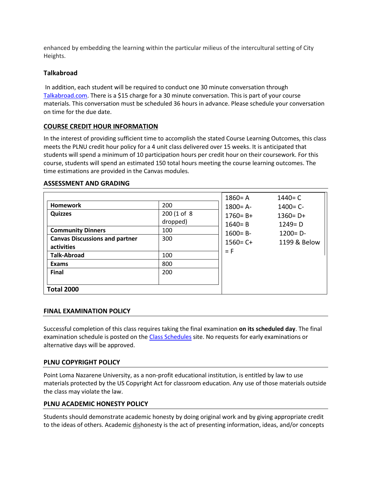enhanced by embedding the learning within the particular milieus of the intercultural setting of City Heights.

### **Talkabroad**

In addition, each student will be required to conduct one 30 minute conversation through [Talkabroad.com.](about:blank) There is a \$15 charge for a 30 minute conversation. This is part of your course materials. This conversation must be scheduled 36 hours in advance. Please schedule your conversation on time for the due date.

### **COURSE CREDIT HOUR INFORMATION**

In the interest of providing sufficient time to accomplish the stated Course Learning Outcomes, this class meets the PLNU credit hour policy for a 4 unit class delivered over 15 weeks. It is anticipated that students will spend a minimum of 10 participation hours per credit hour on their coursework. For this course, students will spend an estimated 150 total hours meeting the course learning outcomes. The time estimations are provided in the Canvas modules.

#### **ASSESSMENT AND GRADING**

|                                                     |                         | $1860 = A$                 | $1440 = C$                 |
|-----------------------------------------------------|-------------------------|----------------------------|----------------------------|
| <b>Homework</b>                                     | 200                     | $1800 = A -$               | $1400 = C -$               |
| <b>Quizzes</b>                                      | 200 (1 of 8<br>dropped) | $1760 = B +$<br>$1640 = B$ | $1360 = D +$<br>$1249 = D$ |
| <b>Community Dinners</b>                            | 100                     | $1600 = B -$               | $1200 = D -$               |
| <b>Canvas Discussions and partner</b><br>activities | 300                     | $1560 = C +$               | 1199 & Below               |
| <b>Talk-Abroad</b>                                  | 100                     | $=$ F                      |                            |
| <b>Exams</b>                                        | 800                     |                            |                            |
| <b>Final</b>                                        | 200                     |                            |                            |
| <b>Total 2000</b>                                   |                         |                            |                            |

#### **FINAL EXAMINATION POLICY**

Successful completion of this class requires taking the final examination **on its scheduled day**. The final examination schedule is posted on th[e Class Schedules](http://www.pointloma.edu/experience/academics/class-schedules) site. No requests for early examinations or alternative days will be approved.

#### **PLNU COPYRIGHT POLICY**

Point Loma Nazarene University, as a non-profit educational institution, is entitled by law to use materials protected by the US Copyright Act for classroom education. Any use of those materials outside the class may violate the law.

#### **PLNU ACADEMIC HONESTY POLICY**

Students should demonstrate academic honesty by doing original work and by giving appropriate credit to the ideas of others. Academic dishonesty is the act of presenting information, ideas, and/or concepts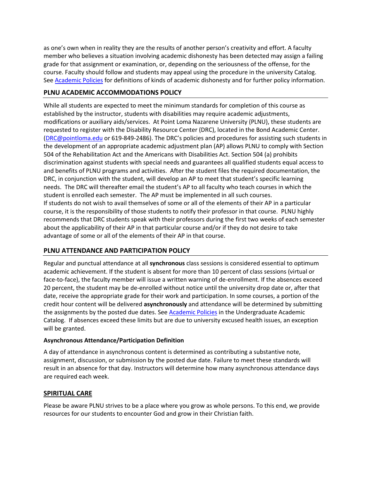as one's own when in reality they are the results of another person's creativity and effort. A faculty member who believes a situation involving academic dishonesty has been detected may assign a failing grade for that assignment or examination, or, depending on the seriousness of the offense, for the course. Faculty should follow and students may appeal using the procedure in the university Catalog. Se[e Academic Policies](http://catalog.pointloma.edu/content.php?catoid=18&navoid=1278) for definitions of kinds of academic dishonesty and for further policy information.

#### **PLNU ACADEMIC ACCOMMODATIONS POLICY**

While all students are expected to meet the minimum standards for completion of this course as established by the instructor, students with disabilities may require academic adjustments, modifications or auxiliary aids/services. At Point Loma Nazarene University (PLNU), these students are requested to register with the Disability Resource Center (DRC), located in the Bond Academic Center. [\(DRC@pointloma.edu](mailto:DRC@pointloma.edu) or 619-849-2486). The DRC's policies and procedures for assisting such students in the development of an appropriate academic adjustment plan (AP) allows PLNU to comply with Section 504 of the Rehabilitation Act and the Americans with Disabilities Act. Section 504 (a) prohibits discrimination against students with special needs and guarantees all qualified students equal access to and benefits of PLNU programs and activities. After the student files the required documentation, the DRC, in conjunction with the student, will develop an AP to meet that student's specific learning needs. The DRC will thereafter email the student's AP to all faculty who teach courses in which the student is enrolled each semester. The AP must be implemented in all such courses. If students do not wish to avail themselves of some or all of the elements of their AP in a particular course, it is the responsibility of those students to notify their professor in that course. PLNU highly recommends that DRC students speak with their professors during the first two weeks of each semester about the applicability of their AP in that particular course and/or if they do not desire to take advantage of some or all of the elements of their AP in that course.

### **PLNU ATTENDANCE AND PARTICIPATION POLICY**

Regular and punctual attendance at all **synchronous** class sessions is considered essential to optimum academic achievement. If the student is absent for more than 10 percent of class sessions (virtual or face-to-face), the faculty member will issue a written warning of de-enrollment. If the absences exceed 20 percent, the student may be de-enrolled without notice until the university drop date or, after that date, receive the appropriate grade for their work and participation. In some courses, a portion of the credit hour content will be delivered **asynchronously** and attendance will be determined by submitting the assignments by the posted due dates. See [Academic Policies](https://catalog.pointloma.edu/content.php?catoid=46&navoid=2650#Class_Attendance) in the Undergraduate Academic Catalog. If absences exceed these limits but are due to university excused health issues, an exception will be granted.

### **Asynchronous Attendance/Participation Definition**

A day of attendance in asynchronous content is determined as contributing a substantive note, assignment, discussion, or submission by the posted due date. Failure to meet these standards will result in an absence for that day. Instructors will determine how many asynchronous attendance days are required each week.

### **SPIRITUAL CARE**

Please be aware PLNU strives to be a place where you grow as whole persons. To this end, we provide resources for our students to encounter God and grow in their Christian faith.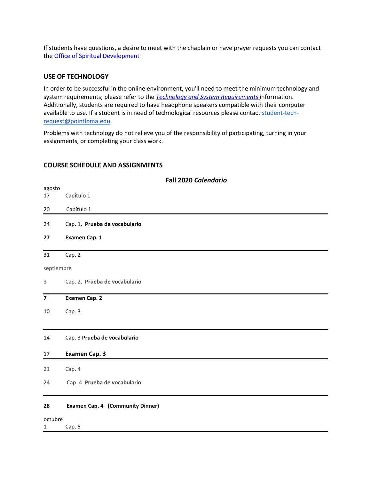If students have questions, a desire to meet with the chaplain or have prayer requests you can contact th[e Office of Spiritual Development](https://www.pointloma.edu/offices/spiritual-development)

#### **USE OF TECHNOLOGY**

In order to be successful in the online environment, you'll need to meet the minimum technology and system requirements; please refer to the *[Technology and System Requirements](https://help.pointloma.edu/TDClient/1808/Portal/KB/ArticleDet?ID=108349)* information. Additionally, students are required to have headphone speakers compatible with their computer available to use. If a student is in need of technological resources please contact [student-tech](mailto:student-tech-request@pointloma.edu)[request@pointloma.edu.](mailto:student-tech-request@pointloma.edu)

Problems with technology do not relieve you of the responsibility of participating, turning in your assignments, or completing your class work.

#### **COURSE SCHEDULE AND ASSIGNMENTS**

| Fall 2020 Calendario                    |  |  |  |  |
|-----------------------------------------|--|--|--|--|
|                                         |  |  |  |  |
| Capítulo 1                              |  |  |  |  |
| Capítulo 1                              |  |  |  |  |
| Cap. 1, Prueba de vocabulario           |  |  |  |  |
| Examen Cap. 1                           |  |  |  |  |
| Cap. 2                                  |  |  |  |  |
| septiembre                              |  |  |  |  |
| Cap. 2, Prueba de vocabulario           |  |  |  |  |
| Examen Cap. 2                           |  |  |  |  |
| Cap. 3                                  |  |  |  |  |
| Cap. 3 Prueba de vocabulario            |  |  |  |  |
| Examen Cap. 3                           |  |  |  |  |
| Cap. 4                                  |  |  |  |  |
| Cap. 4 Prueba de vocabulario            |  |  |  |  |
| <b>Examen Cap. 4 (Community Dinner)</b> |  |  |  |  |
| octubre                                 |  |  |  |  |
| Cap. 5                                  |  |  |  |  |
|                                         |  |  |  |  |